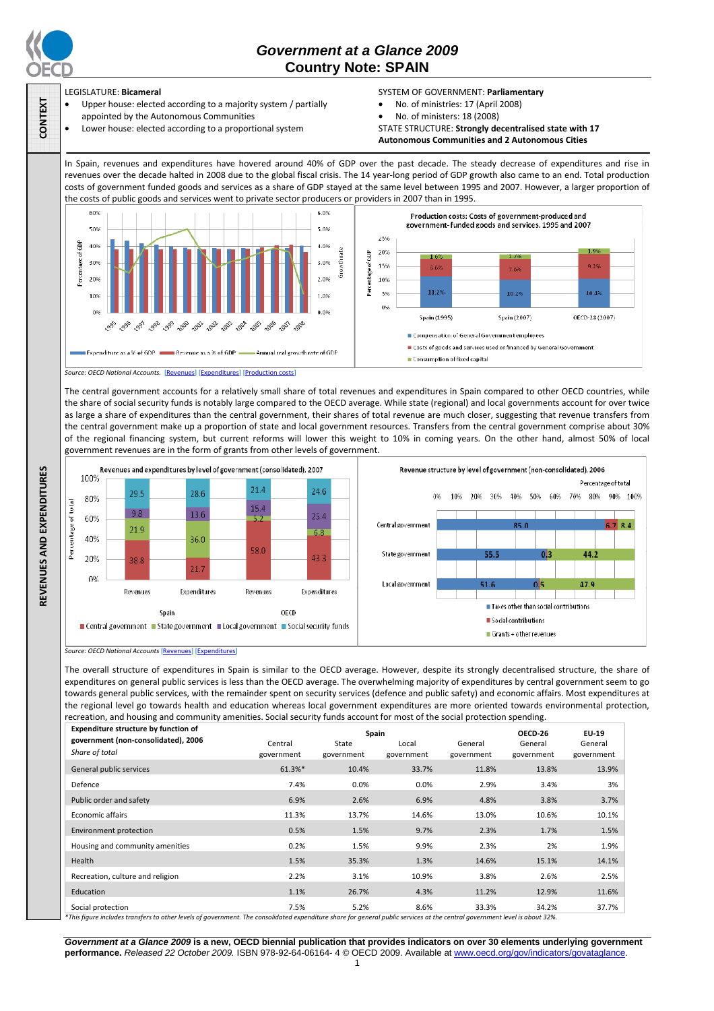

**CONTEXT** 

# *Government at a Glance 2009*  **Country Note: SPAIN**

## LEGISLATURE: **Bicameral**

- Upper house: elected according to a majority system / partially appointed by the Autonomous Communities
- Lower house: elected according to a proportional system

## SYSTEM OF GOVERNMENT: **Parliamentary**

- No. of ministries: 17 (April 2008)
- No. of ministers: 18 (2008)

STATE STRUCTURE: **Strongly decentralised state with 17 Autonomous Communities and 2 Autonomous Cities**

In Spain, revenues and expenditures have hovered around 40% of GDP over the past decade. The steady decrease of expenditures and rise in revenues over the decade halted in 2008 due to the global fiscal crisis. The 14 year-long period of GDP growth also came to an end. Total production costs of government funded goods and services as a share of GDP stayed at the same level between 1995 and 2007. However, a larger proportion of the costs of public goods and services went to private sector producers or providers in 2007 than in 1995.



The central government accounts for a relatively small share of total revenues and expenditures in Spain compared to other OECD countries, while the share of social security funds is notably large compared to the OECD average. While state (regional) and local governments account for over twice as large a share of expenditures than the central government, their shares of total revenue are much closer, suggesting that revenue transfers from the central government make up a proportion of state and local government resources. Transfers from the central government comprise about 30% of the regional financing system, but current reforms will lower this weight to 10% in coming years. On the other hand, almost 50% of local government revenues are in the form of grants from other levels of government.





The overall structure of expenditures in Spain is similar to the OECD average. However, despite its strongly decentralised structure, the share of expenditures on general public services is less than the OECD average. The overwhelming majority of expenditures by central government seem to go towards general public services, with the remainder spent on security services (defence and public safety) and economic affairs. Most expenditures at the regional level go towards health and education whereas local government expenditures are more oriented towards environmental protection, recreation, and housing and community amenities. Social security funds account for most of the social protection spending.

| Expenditure structure by function of                                                                                                                                                                | Spain                 |                     |                     |                       | OECD-26               | EU-19                 |
|-----------------------------------------------------------------------------------------------------------------------------------------------------------------------------------------------------|-----------------------|---------------------|---------------------|-----------------------|-----------------------|-----------------------|
| government (non-consolidated), 2006<br>Share of total                                                                                                                                               | Central<br>government | State<br>government | Local<br>government | General<br>government | General<br>government | General<br>government |
| General public services                                                                                                                                                                             | 61.3%*                | 10.4%               | 33.7%               | 11.8%                 | 13.8%                 | 13.9%                 |
| Defence                                                                                                                                                                                             | 7.4%                  | 0.0%                | 0.0%                | 2.9%                  | 3.4%                  | 3%                    |
| Public order and safety                                                                                                                                                                             | 6.9%                  | 2.6%                | 6.9%                | 4.8%                  | 3.8%                  | 3.7%                  |
| <b>Economic affairs</b>                                                                                                                                                                             | 11.3%                 | 13.7%               | 14.6%               | 13.0%                 | 10.6%                 | 10.1%                 |
| Environment protection                                                                                                                                                                              | 0.5%                  | 1.5%                | 9.7%                | 2.3%                  | 1.7%                  | 1.5%                  |
| Housing and community amenities                                                                                                                                                                     | 0.2%                  | 1.5%                | 9.9%                | 2.3%                  | 2%                    | 1.9%                  |
| Health                                                                                                                                                                                              | 1.5%                  | 35.3%               | 1.3%                | 14.6%                 | 15.1%                 | 14.1%                 |
| Recreation, culture and religion                                                                                                                                                                    | 2.2%                  | 3.1%                | 10.9%               | 3.8%                  | 2.6%                  | 2.5%                  |
| Education                                                                                                                                                                                           | 1.1%                  | 26.7%               | 4.3%                | 11.2%                 | 12.9%                 | 11.6%                 |
| Social protection<br>$*$ This figure includes transfers to other levels of government. The consolidated expenditure share for general nublic services at the central government level is about 22%. | 7.5%                  | 5.2%                | 8.6%                | 33.3%                 | 34.2%                 | 37.7%                 |

*\*This figure includes transfers to other levels of government. The consolidated expenditure share for general public services at the central government level is about 32%.* 

*Government at a Glance 2009* **is a new, OECD biennial publication that provides indicators on over 30 elements underlying government performance.** *Released 22 October 2009.* ISBN 978-92-64-06164- 4 © OECD 2009. Available at www.oecd.org/gov/indicators/govataglance. 1

*Source: OECD National Accounts* [Revenues] [Expenditures]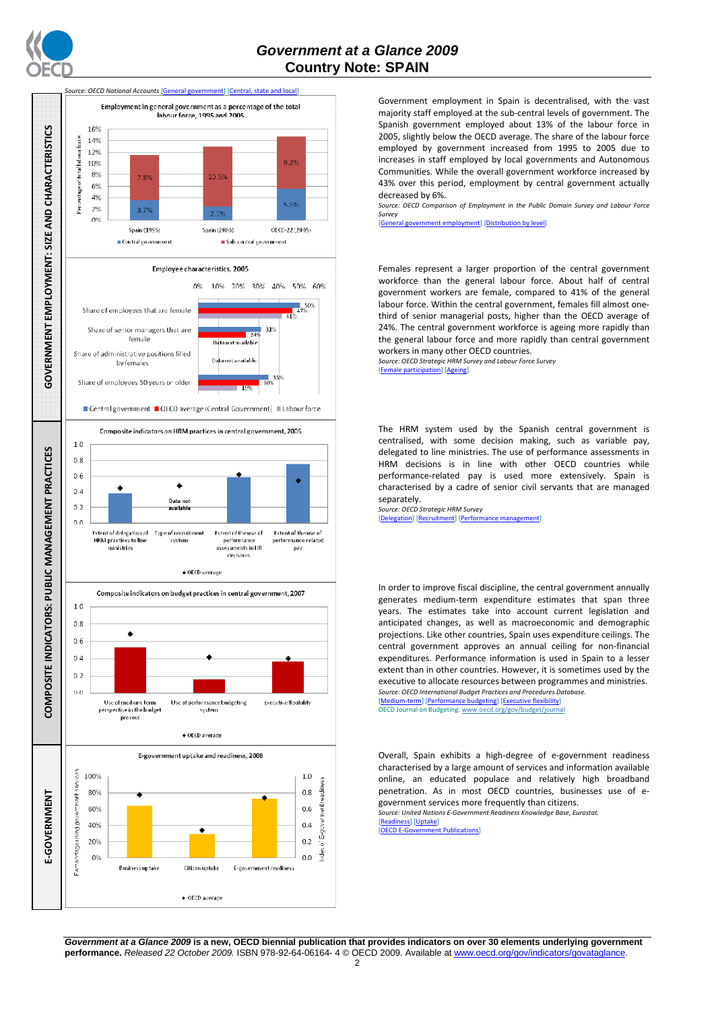



Government employment in Spain is decentralised, with the vast majority staff employed at the sub-central levels of government. The Spanish government employed about 13% of the labour force in 2005, slightly below the OECD average. The share of the labour force employed by government increased from 1995 to 2005 due to increases in staff employed by local governments and Autonomous Communities. While the overall government workforce increased by 43% over this period, employment by central government actually decreased by 6%.

*Source: OECD Comparison of Employment in the Public Domain Survey and Labour Force Survey* 

[General government employment] [Distribution by level]

Females represent a larger proportion of the central government workforce than the general labour force. About half of central government workers are female, compared to 41% of the general labour force. Within the central government, females fill almost onethird of senior managerial posts, higher than the OECD average of 24%. The central government workforce is ageing more rapidly than the general labour force and more rapidly than central government workers in many other OECD countries.

*Source: OECD Strategic HRM Survey and Labour Force Survey*  [Female participation] [Ageing]

The HRM system used by the Spanish central government is centralised, with some decision making, such as variable pay, delegated to line ministries. The use of performance assessments in HRM decisions is in line with other OECD countries while performance-related pay is used more extensively. Spain is characterised by a cadre of senior civil servants that are managed separately.

*Source: OECD Strategic HRM Survey*  [Delegation] [Recruitment] [Performance management]

In order to improve fiscal discipline, the central government annually generates medium-term expenditure estimates that span three years. The estimates take into account current legislation and anticipated changes, as well as macroeconomic and demographic projections. Like other countries, Spain uses expenditure ceilings. The central government approves an annual ceiling for non-financial expenditures. Performance information is used in Spain to a lesser extent than in other countries. However, it is sometimes used by the executive to allocate resources between programmes and ministries. *Source: OECD International Budget Practices and Procedures Database.*  [Medium-term] [Performance budgeting] [Executive flexibility]

OECD Journal on Budgeting: www.oecd.org/gov/budget/journal

Overall, Spain exhibits a high-degree of e-government readiness characterised by a large amount of services and information available online, an educated populace and relatively high broadband penetration. As in most OECD countries, businesses use of egovernment services more frequently than citizens.

*Source: United Nations E-Government Readiness Knowledge Base, Eurostat.*  [Readiness] [Uptake]

[OECD E-Government Publications]

*Government at a Glance 2009* **is a new, OECD biennial publication that provides indicators on over 30 elements underlying government performance.** *Released 22 October 2009.* ISBN 978-92-64-06164- 4 © OECD 2009. Available at www.oecd.org/gov/indicators/govataglance.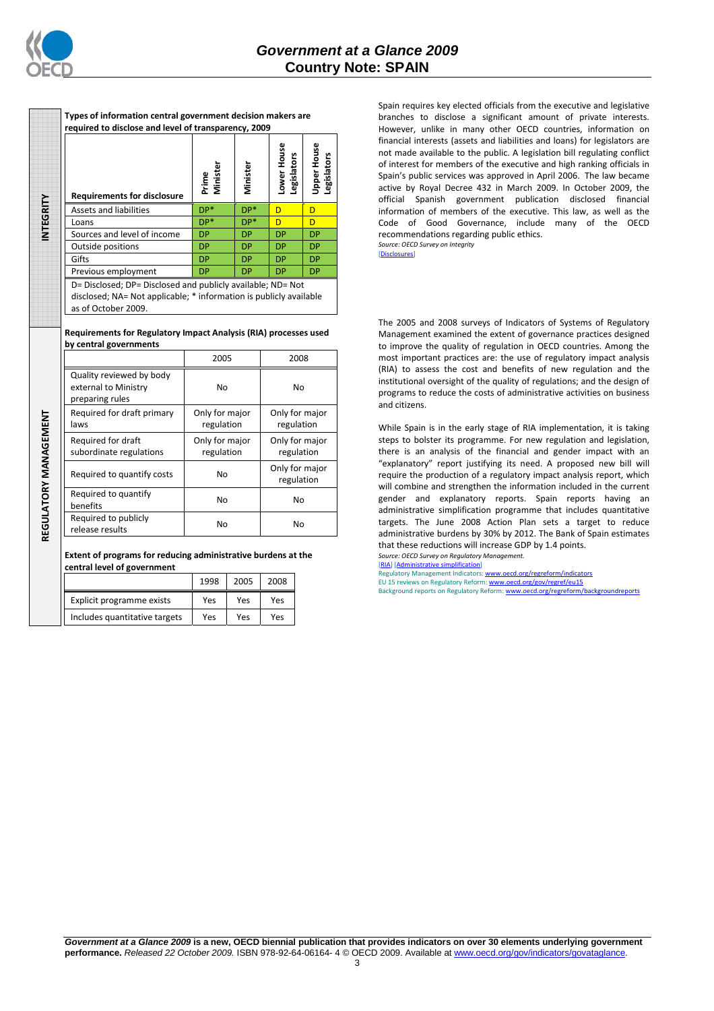

**INTEGRITY REGULATORY MANAGEMENT** 

REGULATORY MANAGEMENT

NTEGRITY

| <b>Requirements for disclosure</b>                                                                                                | Prime<br>Minister | Minister  | House<br>Legislators<br>Lower I | <b>Upper House</b><br><b>Legislators</b> |
|-----------------------------------------------------------------------------------------------------------------------------------|-------------------|-----------|---------------------------------|------------------------------------------|
| Assets and liabilities                                                                                                            | DP*               | $DP*$     | D                               | D                                        |
| Loans                                                                                                                             | $DP*$             | DP*       | D                               | D                                        |
| Sources and level of income                                                                                                       | <b>DP</b>         | <b>DP</b> | <b>DP</b>                       | <b>DP</b>                                |
| Outside positions                                                                                                                 | <b>DP</b>         | <b>DP</b> | <b>DP</b>                       | <b>DP</b>                                |
| Gifts                                                                                                                             | <b>DP</b>         | <b>DP</b> | <b>DP</b>                       | <b>DP</b>                                |
| Previous employment                                                                                                               | <b>DP</b>         | <b>DP</b> | <b>DP</b>                       | <b>DP</b>                                |
| D= Disclosed; DP= Disclosed and publicly available; ND= Not<br>disclosed; NA= Not applicable; * information is publicly available |                   |           |                                 |                                          |

**Types of information central government decision makers are required to disclose and level of transparency, 2009** 

as of October 2009.

#### **Requirements for Regulatory Impact Analysis (RIA) processes used by central governments**

|                                                                     | 2005                         | 2008                         |
|---------------------------------------------------------------------|------------------------------|------------------------------|
| Quality reviewed by body<br>external to Ministry<br>preparing rules | No                           | No                           |
| Required for draft primary<br>laws                                  | Only for major<br>regulation | Only for major<br>regulation |
| Required for draft<br>subordinate regulations                       | Only for major<br>regulation | Only for major<br>regulation |
| Required to quantify costs                                          | No                           | Only for major<br>regulation |
| Required to quantify<br>benefits                                    | No                           | No                           |
| Required to publicly<br>release results                             | No                           | No                           |

**Extent of programs for reducing administrative burdens at the central level of government** 

|                               | 1998 | 2005 | 2008 |
|-------------------------------|------|------|------|
| Explicit programme exists     | Yes  | Yes  | Yes  |
| Includes quantitative targets | Yes  | Yes  | Yes  |

Spain requires key elected officials from the executive and legislative branches to disclose a significant amount of private interests. However, unlike in many other OECD countries, information on financial interests (assets and liabilities and loans) for legislators are not made available to the public. A legislation bill regulating conflict of interest for members of the executive and high ranking officials in Spain's public services was approved in April 2006. The law became active by Royal Decree 432 in March 2009. In October 2009, the official Spanish government publication disclosed financial information of members of the executive. This law, as well as the Code of Good Governance, include many of the OECD recommendations regarding public ethics. *Source: OECD Survey on Integrity* 

[Disclosures]

The 2005 and 2008 surveys of Indicators of Systems of Regulatory Management examined the extent of governance practices designed to improve the quality of regulation in OECD countries. Among the most important practices are: the use of regulatory impact analysis (RIA) to assess the cost and benefits of new regulation and the institutional oversight of the quality of regulations; and the design of programs to reduce the costs of administrative activities on business and citizens.

While Spain is in the early stage of RIA implementation, it is taking steps to bolster its programme. For new regulation and legislation, there is an analysis of the financial and gender impact with an "explanatory" report justifying its need. A proposed new bill will require the production of a regulatory impact analysis report, which will combine and strengthen the information included in the current gender and explanatory reports. Spain reports having an administrative simplification programme that includes quantitative targets. The June 2008 Action Plan sets a target to reduce administrative burdens by 30% by 2012. The Bank of Spain estimates that these reductions will increase GDP by 1.4 points.

*Source: OECD Survey on Regulatory Management.* [<u>RIA] [Administrative simplification]</u><br>Regulatory Management Indicators: <u>www.oecd.org/regreform/indicators</u>

EU 15 reviews on Regulatory Reform: www.oecd.org/gov/regref/eu15 Background reports on Regulatory Reform: www.oecd.org/regreform/backgroundreports